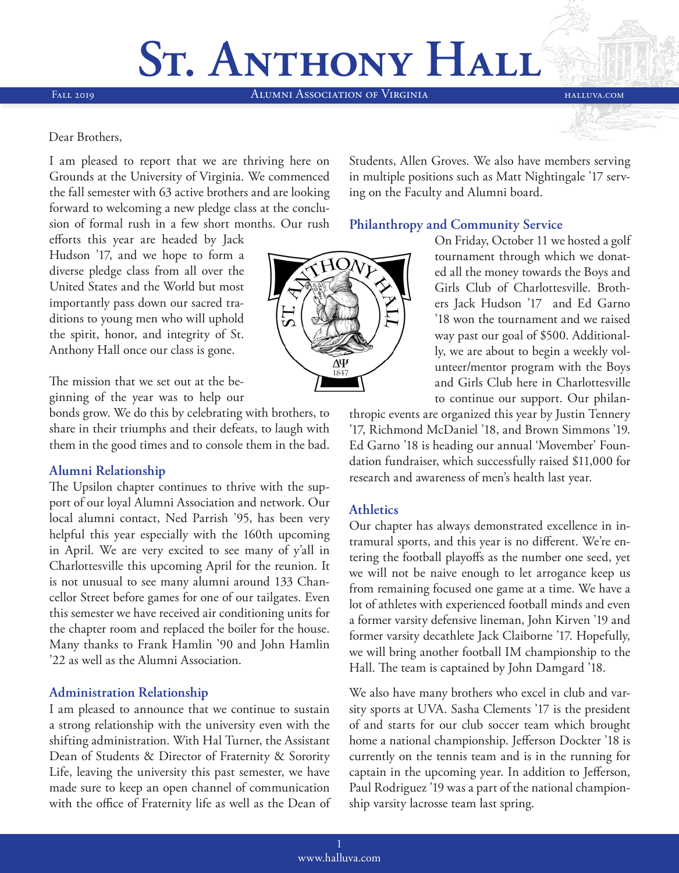# **ST. ANTHONY HALL**

Fall 2019 Alumni Association of Virginia halluva.com

#### Dear Brothers,

I am pleased to report that we are thriving here on Grounds at the University of Virginia. We commenced the fall semester with 63 active brothers and are looking forward to welcoming a new pledge class at the conclusion of formal rush in a few short months. Our rush

Students, Allen Groves. We also have members serving in multiple positions such as Matt Nightingale '17 serving on the Faculty and Alumni board.

#### **Philanthropy and Community Service**

efforts this year are headed by Jack Hudson '17, and we hope to form a diverse pledge class from all over the United States and the World but most importantly pass down our sacred traditions to young men who will uphold the spirit, honor, and integrity of St. Anthony Hall once our class is gone.

The mission that we set out at the beginning of the year was to help our

bonds grow. We do this by celebrating with brothers, to share in their triumphs and their defeats, to laugh with them in the good times and to console them in the bad.

#### **Alumni Relationship**

The Upsilon chapter continues to thrive with the support of our loyal Alumni Association and network. Our local alumni contact, Ned Parrish '95, has been very helpful this year especially with the 160th upcoming in April. We are very excited to see many of y'all in Charlottesville this upcoming April for the reunion. It is not unusual to see many alumni around 133 Chancellor Street before games for one of our tailgates. Even this semester we have received air conditioning units for the chapter room and replaced the boiler for the house. Many thanks to Frank Hamlin '90 and John Hamlin '22 as well as the Alumni Association.

#### **Administration Relationship**

I am pleased to announce that we continue to sustain a strong relationship with the university even with the shifting administration. With Hal Turner, the Assistant Dean of Students & Director of Fraternity & Sorority Life, leaving the university this past semester, we have made sure to keep an open channel of communication with the office of Fraternity life as well as the Dean of



On Friday, October 11 we hosted a golf tournament through which we donated all the money towards the Boys and Girls Club of Charlottesville. Brothers Jack Hudson '17 and Ed Garno '18 won the tournament and we raised way past our goal of \$500. Additionally, we are about to begin a weekly volunteer/mentor program with the Boys and Girls Club here in Charlottesville to continue our support. Our philan-

thropic events are organized this year by Justin Tennery '17, Richmond McDaniel '18, and Brown Simmons '19. Ed Garno '18 is heading our annual 'Movember' Foundation fundraiser, which successfully raised \$11,000 for research and awareness of men's health last year.

#### **Athletics**

Our chapter has always demonstrated excellence in intramural sports, and this year is no different. We're entering the football playoffs as the number one seed, yet we will not be naive enough to let arrogance keep us from remaining focused one game at a time. We have a lot of athletes with experienced football minds and even a former varsity defensive lineman, John Kirven '19 and former varsity decathlete Jack Claiborne '17. Hopefully, we will bring another football IM championship to the Hall. The team is captained by John Damgard '18.

We also have many brothers who excel in club and varsity sports at UVA. Sasha Clements '17 is the president of and starts for our club soccer team which brought home a national championship. Jefferson Dockter '18 is currently on the tennis team and is in the running for captain in the upcoming year. In addition to Jefferson, Paul Rodriguez '19 was a part of the national championship varsity lacrosse team last spring.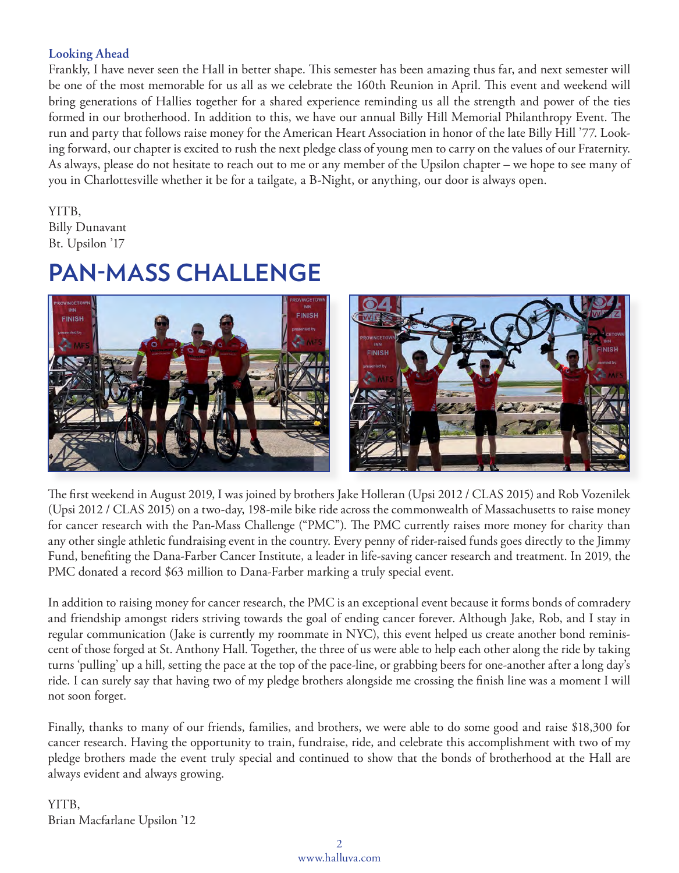### **Looking Ahead**

Frankly, I have never seen the Hall in better shape. This semester has been amazing thus far, and next semester will be one of the most memorable for us all as we celebrate the 160th Reunion in April. This event and weekend will bring generations of Hallies together for a shared experience reminding us all the strength and power of the ties formed in our brotherhood. In addition to this, we have our annual Billy Hill Memorial Philanthropy Event. The run and party that follows raise money for the American Heart Association in honor of the late Billy Hill '77. Looking forward, our chapter is excited to rush the next pledge class of young men to carry on the values of our Fraternity. As always, please do not hesitate to reach out to me or any member of the Upsilon chapter – we hope to see many of you in Charlottesville whether it be for a tailgate, a B-Night, or anything, our door is always open.

### YITB,

Billy Dunavant Bt. Upsilon '17

### **PAN-MASS CHALLENGE**



The first weekend in August 2019, I was joined by brothers Jake Holleran (Upsi 2012 / CLAS 2015) and Rob Vozenilek (Upsi 2012 / CLAS 2015) on a two-day, 198-mile bike ride across the commonwealth of Massachusetts to raise money for cancer research with the Pan-Mass Challenge ("PMC"). The PMC currently raises more money for charity than any other single athletic fundraising event in the country. Every penny of rider-raised funds goes directly to the Jimmy Fund, benefiting the Dana-Farber Cancer Institute, a leader in life-saving cancer research and treatment. In 2019, the PMC donated a record \$63 million to Dana-Farber marking a truly special event.

In addition to raising money for cancer research, the PMC is an exceptional event because it forms bonds of comradery and friendship amongst riders striving towards the goal of ending cancer forever. Although Jake, Rob, and I stay in regular communication (Jake is currently my roommate in NYC), this event helped us create another bond reminiscent of those forged at St. Anthony Hall. Together, the three of us were able to help each other along the ride by taking turns 'pulling' up a hill, setting the pace at the top of the pace-line, or grabbing beers for one-another after a long day's ride. I can surely say that having two of my pledge brothers alongside me crossing the finish line was a moment I will not soon forget.

Finally, thanks to many of our friends, families, and brothers, we were able to do some good and raise \$18,300 for cancer research. Having the opportunity to train, fundraise, ride, and celebrate this accomplishment with two of my pledge brothers made the event truly special and continued to show that the bonds of brotherhood at the Hall are always evident and always growing.

YITB, Brian Macfarlane Upsilon '12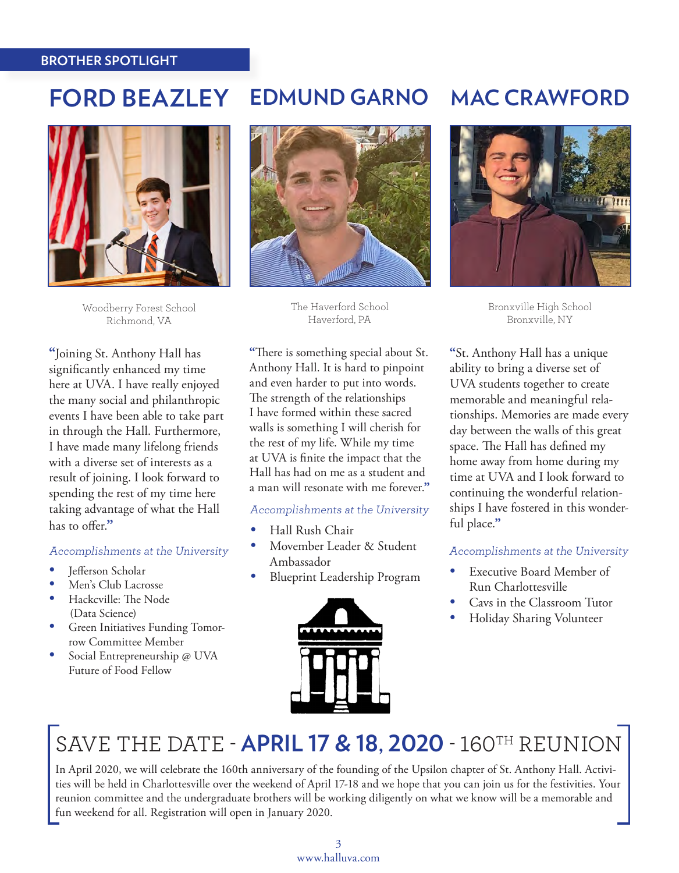#### **BROTHER SPOTLIGHT**

### **FORD BEAZLEY EDMUND GARNO MAC CRAWFORD**



Woodberry Forest School Richmond, VA

**"**Joining St. Anthony Hall has significantly enhanced my time here at UVA. I have really enjoyed the many social and philanthropic events I have been able to take part in through the Hall. Furthermore, I have made many lifelong friends with a diverse set of interests as a result of joining. I look forward to spending the rest of my time here taking advantage of what the Hall has to offer.**"**

#### Accomplishments at the University

- Jefferson Scholar
- Men's Club Lacrosse
- Hackcville: The Node (Data Science)
- Green Initiatives Funding Tomorrow Committee Member
- Social Entrepreneurship @ UVA Future of Food Fellow



The Haverford School Haverford, PA

**"**There is something special about St. Anthony Hall. It is hard to pinpoint and even harder to put into words. The strength of the relationships I have formed within these sacred walls is something I will cherish for the rest of my life. While my time at UVA is finite the impact that the Hall has had on me as a student and a man will resonate with me forever.**"**

#### Accomplishments at the University

- Hall Rush Chair
- Movember Leader & Student Ambassador
- Blueprint Leadership Program





Bronxville High School Bronxville, NY

**"**St. Anthony Hall has a unique ability to bring a diverse set of UVA students together to create memorable and meaningful relationships. Memories are made every day between the walls of this great space. The Hall has defined my home away from home during my time at UVA and I look forward to continuing the wonderful relationships I have fostered in this wonderful place.**"**

#### Accomplishments at the University

- Executive Board Member of Run Charlottesville
- Cavs in the Classroom Tutor
- Holiday Sharing Volunteer

## SAVE THE DATE - **APRIL 17 & 18, 2020** - 160TH REUNION

In April 2020, we will celebrate the 160th anniversary of the founding of the Upsilon chapter of St. Anthony Hall. Activities will be held in Charlottesville over the weekend of April 17-18 and we hope that you can join us for the festivities. Your reunion committee and the undergraduate brothers will be working diligently on what we know will be a memorable and fun weekend for all. Registration will open in January 2020.